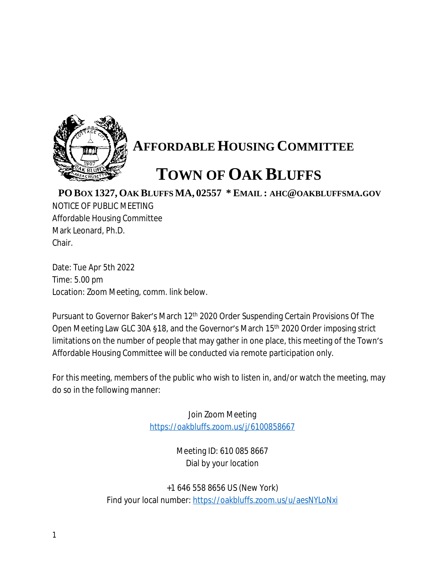

## **AFFORDABLE HOUSING COMMITTEE**

## **TOWN OF OAK BLUFFS**

## **PO BOX 1327, OAK BLUFFS MA, 02557 \* EMAIL : AHC@OAKBLUFFSMA.GOV**

NOTICE OF PUBLIC MEETING Affordable Housing Committee Mark Leonard, Ph.D. Chair.

Date: Tue Apr 5th 2022 Time: 5.00 pm Location: Zoom Meeting, comm. link below.

Pursuant to Governor Baker's March 12<sup>th</sup> 2020 Order Suspending Certain Provisions Of The Open Meeting Law GLC 30A §18, and the Governor's March 15th 2020 Order imposing strict limitations on the number of people that may gather in one place, this meeting of the Town's Affordable Housing Committee will be conducted via remote participation only.

For this meeting, members of the public who wish to listen in, and/or watch the meeting, may do so in the following manner:

> Join Zoom Meeting <https://oakbluffs.zoom.us/j/6100858667>

> > Meeting ID: 610 085 8667 Dial by your location

+1 646 558 8656 US (New York) Find your local number: <https://oakbluffs.zoom.us/u/aesNYLoNxi>